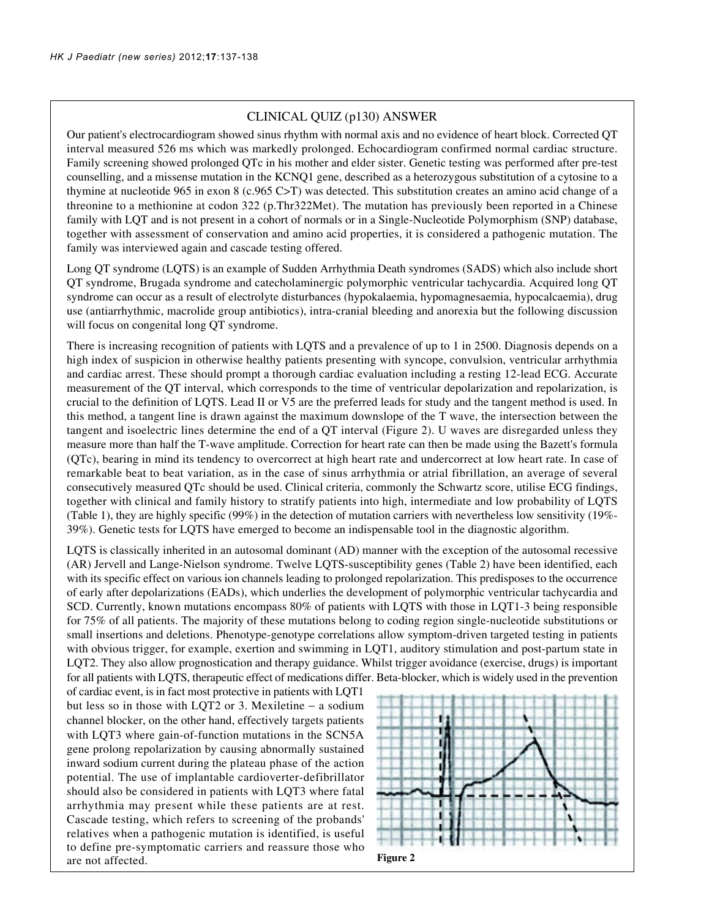## CLINICAL QUIZ (p130) ANSWER

Our patient's electrocardiogram showed sinus rhythm with normal axis and no evidence of heart block. Corrected QT interval measured 526 ms which was markedly prolonged. Echocardiogram confirmed normal cardiac structure. Family screening showed prolonged QTc in his mother and elder sister. Genetic testing was performed after pre-test counselling, and a missense mutation in the KCNQ1 gene, described as a heterozygous substitution of a cytosine to a thymine at nucleotide 965 in exon 8 (c.965 C>T) was detected. This substitution creates an amino acid change of a threonine to a methionine at codon 322 (p.Thr322Met). The mutation has previously been reported in a Chinese family with LQT and is not present in a cohort of normals or in a Single-Nucleotide Polymorphism (SNP) database, together with assessment of conservation and amino acid properties, it is considered a pathogenic mutation. The family was interviewed again and cascade testing offered.

Long QT syndrome (LQTS) is an example of Sudden Arrhythmia Death syndromes (SADS) which also include short QT syndrome, Brugada syndrome and catecholaminergic polymorphic ventricular tachycardia. Acquired long QT syndrome can occur as a result of electrolyte disturbances (hypokalaemia, hypomagnesaemia, hypocalcaemia), drug use (antiarrhythmic, macrolide group antibiotics), intra-cranial bleeding and anorexia but the following discussion will focus on congenital long QT syndrome.

There is increasing recognition of patients with LQTS and a prevalence of up to 1 in 2500. Diagnosis depends on a high index of suspicion in otherwise healthy patients presenting with syncope, convulsion, ventricular arrhythmia and cardiac arrest. These should prompt a thorough cardiac evaluation including a resting 12-lead ECG. Accurate measurement of the QT interval, which corresponds to the time of ventricular depolarization and repolarization, is crucial to the definition of LQTS. Lead II or V5 are the preferred leads for study and the tangent method is used. In this method, a tangent line is drawn against the maximum downslope of the T wave, the intersection between the tangent and isoelectric lines determine the end of a QT interval (Figure 2). U waves are disregarded unless they measure more than half the T-wave amplitude. Correction for heart rate can then be made using the Bazett's formula (QTc), bearing in mind its tendency to overcorrect at high heart rate and undercorrect at low heart rate. In case of remarkable beat to beat variation, as in the case of sinus arrhythmia or atrial fibrillation, an average of several consecutively measured QTc should be used. Clinical criteria, commonly the Schwartz score, utilise ECG findings, together with clinical and family history to stratify patients into high, intermediate and low probability of LQTS (Table 1), they are highly specific (99%) in the detection of mutation carriers with nevertheless low sensitivity (19%- 39%). Genetic tests for LQTS have emerged to become an indispensable tool in the diagnostic algorithm.

LQTS is classically inherited in an autosomal dominant (AD) manner with the exception of the autosomal recessive (AR) Jervell and Lange-Nielson syndrome. Twelve LQTS-susceptibility genes (Table 2) have been identified, each with its specific effect on various ion channels leading to prolonged repolarization. This predisposes to the occurrence of early after depolarizations (EADs), which underlies the development of polymorphic ventricular tachycardia and SCD. Currently, known mutations encompass 80% of patients with LQTS with those in LQT1-3 being responsible for 75% of all patients. The majority of these mutations belong to coding region single-nucleotide substitutions or small insertions and deletions. Phenotype-genotype correlations allow symptom-driven targeted testing in patients with obvious trigger, for example, exertion and swimming in LQT1, auditory stimulation and post-partum state in LQT2. They also allow prognostication and therapy guidance. Whilst trigger avoidance (exercise, drugs) is important for all patients with LQTS, therapeutic effect of medications differ. Beta-blocker, which is widely used in the prevention

of cardiac event, is in fact most protective in patients with LQT1 but less so in those with LQT2 or 3. Mexiletine − a sodium channel blocker, on the other hand, effectively targets patients with LQT3 where gain-of-function mutations in the SCN5A gene prolong repolarization by causing abnormally sustained inward sodium current during the plateau phase of the action potential. The use of implantable cardioverter-defibrillator should also be considered in patients with LQT3 where fatal arrhythmia may present while these patients are at rest. Cascade testing, which refers to screening of the probands' relatives when a pathogenic mutation is identified, is useful to define pre-symptomatic carriers and reassure those who are not affected. **Figure 2**